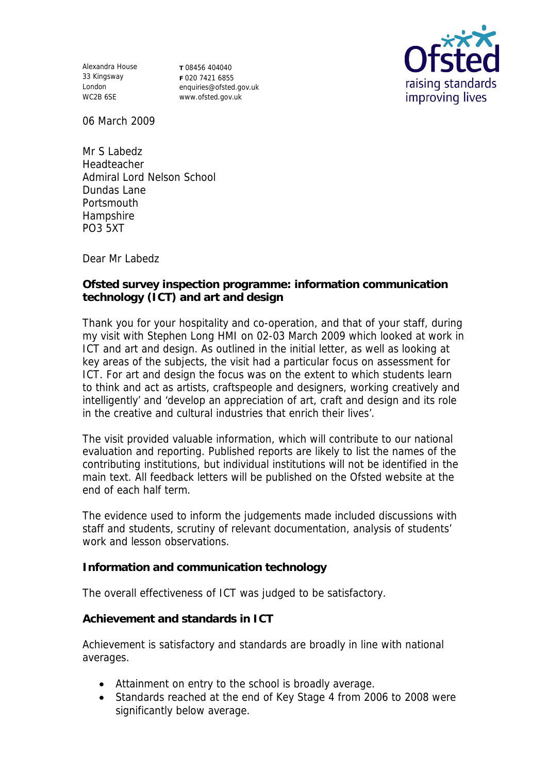Alexandra House 33 Kingsway London WC2B 6SE

**T** 08456 404040 **F** 020 7421 6855 enquiries@ofsted.gov.uk www.ofsted.gov.uk



06 March 2009

Mr S Labedz Headteacher Admiral Lord Nelson School Dundas Lane **Portsmouth Hampshire** PO3 5XT

Dear Mr Labedz

**Ofsted survey inspection programme: information communication technology (ICT) and art and design**

Thank you for your hospitality and co-operation, and that of your staff, during my visit with Stephen Long HMI on 02-03 March 2009 which looked at work in ICT and art and design. As outlined in the initial letter, as well as looking at key areas of the subjects, the visit had a particular focus on assessment for ICT. For art and design the focus was on the extent to which students learn to think and act as artists, craftspeople and designers, working creatively and intelligently' and 'develop an appreciation of art, craft and design and its role in the creative and cultural industries that enrich their lives'.

The visit provided valuable information, which will contribute to our national evaluation and reporting. Published reports are likely to list the names of the contributing institutions, but individual institutions will not be identified in the main text. All feedback letters will be published on the Ofsted website at the end of each half term.

The evidence used to inform the judgements made included discussions with staff and students, scrutiny of relevant documentation, analysis of students' work and lesson observations.

**Information and communication technology**

The overall effectiveness of ICT was judged to be satisfactory.

**Achievement and standards in ICT**

Achievement is satisfactory and standards are broadly in line with national averages.

- Attainment on entry to the school is broadly average.
- Standards reached at the end of Key Stage 4 from 2006 to 2008 were significantly below average.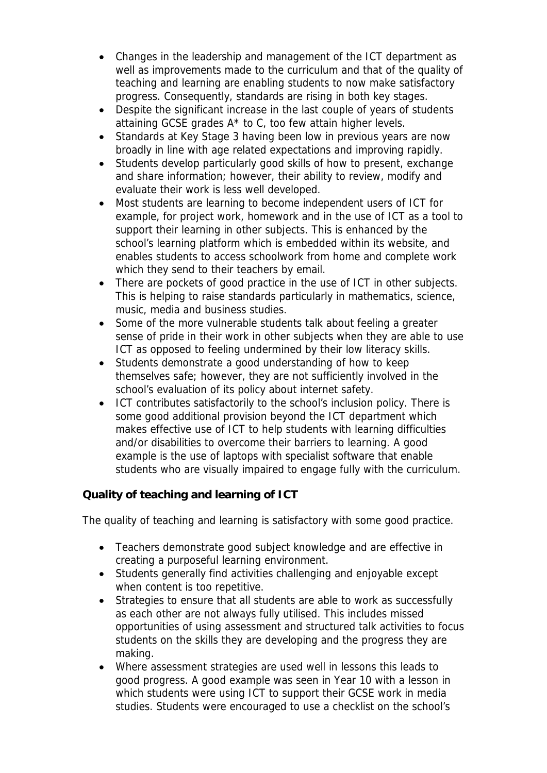- Changes in the leadership and management of the ICT department as well as improvements made to the curriculum and that of the quality of teaching and learning are enabling students to now make satisfactory progress. Consequently, standards are rising in both key stages.
- Despite the significant increase in the last couple of years of students attaining GCSE grades A\* to C, too few attain higher levels.
- Standards at Key Stage 3 having been low in previous years are now broadly in line with age related expectations and improving rapidly.
- Students develop particularly good skills of how to present, exchange and share information; however, their ability to review, modify and evaluate their work is less well developed.
- Most students are learning to become independent users of ICT for example, for project work, homework and in the use of ICT as a tool to support their learning in other subjects. This is enhanced by the school's learning platform which is embedded within its website, and enables students to access schoolwork from home and complete work which they send to their teachers by email.
- There are pockets of good practice in the use of ICT in other subjects. This is helping to raise standards particularly in mathematics, science, music, media and business studies.
- Some of the more vulnerable students talk about feeling a greater sense of pride in their work in other subjects when they are able to use ICT as opposed to feeling undermined by their low literacy skills.
- Students demonstrate a good understanding of how to keep themselves safe; however, they are not sufficiently involved in the school's evaluation of its policy about internet safety.
- ICT contributes satisfactorily to the school's inclusion policy. There is some good additional provision beyond the ICT department which makes effective use of ICT to help students with learning difficulties and/or disabilities to overcome their barriers to learning. A good example is the use of laptops with specialist software that enable students who are visually impaired to engage fully with the curriculum.

**Quality of teaching and learning of ICT**

The quality of teaching and learning is satisfactory with some good practice.

- Teachers demonstrate good subject knowledge and are effective in creating a purposeful learning environment.
- Students generally find activities challenging and enjoyable except when content is too repetitive.
- Strategies to ensure that all students are able to work as successfully as each other are not always fully utilised. This includes missed opportunities of using assessment and structured talk activities to focus students on the skills they are developing and the progress they are making.
- Where assessment strategies are used well in lessons this leads to good progress. A good example was seen in Year 10 with a lesson in which students were using ICT to support their GCSE work in media studies. Students were encouraged to use a checklist on the school's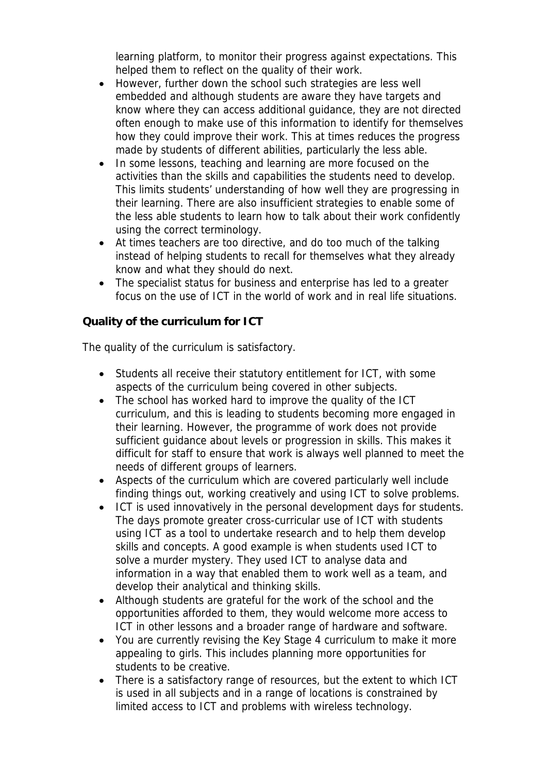learning platform, to monitor their progress against expectations. This helped them to reflect on the quality of their work.

- However, further down the school such strategies are less well embedded and although students are aware they have targets and know where they can access additional guidance, they are not directed often enough to make use of this information to identify for themselves how they could improve their work. This at times reduces the progress made by students of different abilities, particularly the less able.
- In some lessons, teaching and learning are more focused on the activities than the skills and capabilities the students need to develop. This limits students' understanding of how well they are progressing in their learning. There are also insufficient strategies to enable some of the less able students to learn how to talk about their work confidently using the correct terminology.
- At times teachers are too directive, and do too much of the talking instead of helping students to recall for themselves what they already know and what they should do next.
- The specialist status for business and enterprise has led to a greater focus on the use of ICT in the world of work and in real life situations.

**Quality of the curriculum for ICT**

The quality of the curriculum is satisfactory.

- Students all receive their statutory entitlement for ICT, with some aspects of the curriculum being covered in other subjects.
- The school has worked hard to improve the quality of the ICT curriculum, and this is leading to students becoming more engaged in their learning. However, the programme of work does not provide sufficient guidance about levels or progression in skills. This makes it difficult for staff to ensure that work is always well planned to meet the needs of different groups of learners.
- Aspects of the curriculum which are covered particularly well include finding things out, working creatively and using ICT to solve problems.
- ICT is used innovatively in the personal development days for students. The days promote greater cross-curricular use of ICT with students using ICT as a tool to undertake research and to help them develop skills and concepts. A good example is when students used ICT to solve a murder mystery. They used ICT to analyse data and information in a way that enabled them to work well as a team, and develop their analytical and thinking skills.
- Although students are grateful for the work of the school and the opportunities afforded to them, they would welcome more access to ICT in other lessons and a broader range of hardware and software.
- You are currently revising the Key Stage 4 curriculum to make it more appealing to girls. This includes planning more opportunities for students to be creative.
- There is a satisfactory range of resources, but the extent to which ICT is used in all subjects and in a range of locations is constrained by limited access to ICT and problems with wireless technology.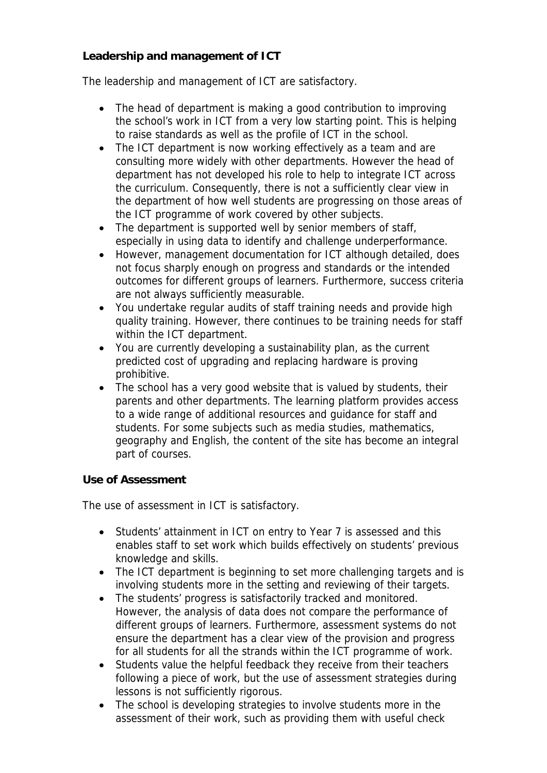**Leadership and management of ICT**

The leadership and management of ICT are satisfactory.

- The head of department is making a good contribution to improving the school's work in ICT from a very low starting point. This is helping to raise standards as well as the profile of ICT in the school.
- The ICT department is now working effectively as a team and are consulting more widely with other departments. However the head of department has not developed his role to help to integrate ICT across the curriculum. Consequently, there is not a sufficiently clear view in the department of how well students are progressing on those areas of the ICT programme of work covered by other subjects.
- The department is supported well by senior members of staff, especially in using data to identify and challenge underperformance.
- However, management documentation for ICT although detailed, does not focus sharply enough on progress and standards or the intended outcomes for different groups of learners. Furthermore, success criteria are not always sufficiently measurable.
- You undertake regular audits of staff training needs and provide high quality training. However, there continues to be training needs for staff within the ICT department.
- You are currently developing a sustainability plan, as the current predicted cost of upgrading and replacing hardware is proving prohibitive.
- The school has a very good website that is valued by students, their parents and other departments. The learning platform provides access to a wide range of additional resources and guidance for staff and students. For some subjects such as media studies, mathematics, geography and English, the content of the site has become an integral part of courses.

## **Use of Assessment**

The use of assessment in ICT is satisfactory.

- Students' attainment in ICT on entry to Year 7 is assessed and this enables staff to set work which builds effectively on students' previous knowledge and skills.
- The ICT department is beginning to set more challenging targets and is involving students more in the setting and reviewing of their targets.
- The students' progress is satisfactorily tracked and monitored. However, the analysis of data does not compare the performance of different groups of learners. Furthermore, assessment systems do not ensure the department has a clear view of the provision and progress for all students for all the strands within the ICT programme of work.
- Students value the helpful feedback they receive from their teachers following a piece of work, but the use of assessment strategies during lessons is not sufficiently rigorous.
- The school is developing strategies to involve students more in the assessment of their work, such as providing them with useful check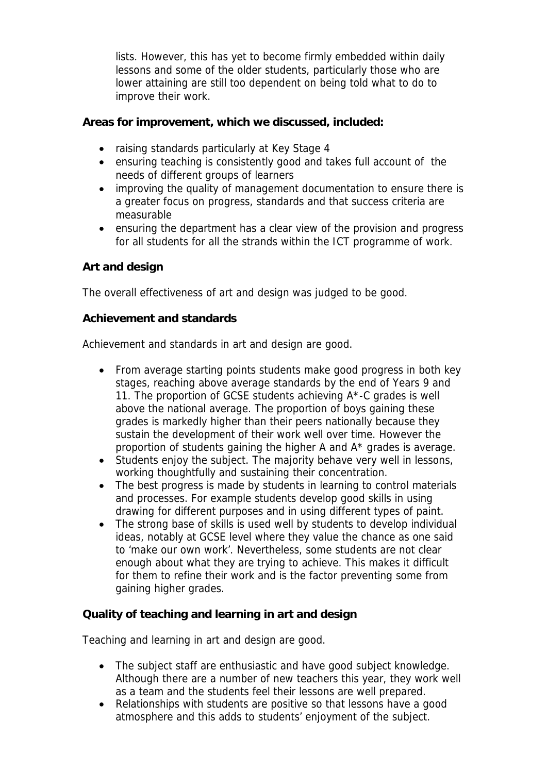lists. However, this has yet to become firmly embedded within daily lessons and some of the older students, particularly those who are lower attaining are still too dependent on being told what to do to improve their work.

**Areas for improvement, which we discussed, included:**

- raising standards particularly at Key Stage 4
- ensuring teaching is consistently good and takes full account of the needs of different groups of learners
- improving the quality of management documentation to ensure there is a greater focus on progress, standards and that success criteria are measurable
- ensuring the department has a clear view of the provision and progress for all students for all the strands within the ICT programme of work.

## **Art and design**

The overall effectiveness of art and design was judged to be good.

**Achievement and standards** 

Achievement and standards in art and design are good.

- From average starting points students make good progress in both key stages, reaching above average standards by the end of Years 9 and 11. The proportion of GCSE students achieving A\*-C grades is well above the national average. The proportion of boys gaining these grades is markedly higher than their peers nationally because they sustain the development of their work well over time. However the proportion of students gaining the higher A and A\* grades is average.
- Students enjoy the subject. The majority behave very well in lessons, working thoughtfully and sustaining their concentration.
- The best progress is made by students in learning to control materials and processes. For example students develop good skills in using drawing for different purposes and in using different types of paint.
- The strong base of skills is used well by students to develop individual ideas, notably at GCSE level where they value the chance as one said to 'make our own work'. Nevertheless, some students are not clear enough about what they are trying to achieve. This makes it difficult for them to refine their work and is the factor preventing some from gaining higher grades.

**Quality of teaching and learning in art and design**

Teaching and learning in art and design are good.

- The subject staff are enthusiastic and have good subject knowledge. Although there are a number of new teachers this year, they work well as a team and the students feel their lessons are well prepared.
- Relationships with students are positive so that lessons have a good atmosphere and this adds to students' enjoyment of the subject.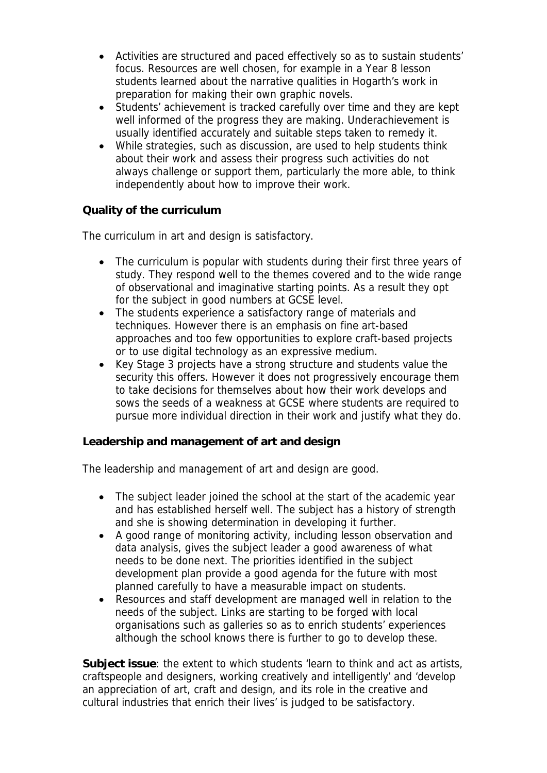- Activities are structured and paced effectively so as to sustain students' focus. Resources are well chosen, for example in a Year 8 lesson students learned about the narrative qualities in Hogarth's work in preparation for making their own graphic novels.
- Students' achievement is tracked carefully over time and they are kept well informed of the progress they are making. Underachievement is usually identified accurately and suitable steps taken to remedy it.
- While strategies, such as discussion, are used to help students think about their work and assess their progress such activities do not always challenge or support them, particularly the more able, to think independently about how to improve their work.

## **Quality of the curriculum**

The curriculum in art and design is satisfactory.

- The curriculum is popular with students during their first three years of study. They respond well to the themes covered and to the wide range of observational and imaginative starting points. As a result they opt for the subject in good numbers at GCSE level.
- The students experience a satisfactory range of materials and techniques. However there is an emphasis on fine art-based approaches and too few opportunities to explore craft-based projects or to use digital technology as an expressive medium.
- Key Stage 3 projects have a strong structure and students value the security this offers. However it does not progressively encourage them to take decisions for themselves about how their work develops and sows the seeds of a weakness at GCSE where students are required to pursue more individual direction in their work and justify what they do.

**Leadership and management of art and design**

The leadership and management of art and design are good.

- The subject leader joined the school at the start of the academic year and has established herself well. The subject has a history of strength and she is showing determination in developing it further.
- A good range of monitoring activity, including lesson observation and data analysis, gives the subject leader a good awareness of what needs to be done next. The priorities identified in the subject development plan provide a good agenda for the future with most planned carefully to have a measurable impact on students.
- Resources and staff development are managed well in relation to the needs of the subject. Links are starting to be forged with local organisations such as galleries so as to enrich students' experiences although the school knows there is further to go to develop these.

**Subject issue**: the extent to which students 'learn to think and act as artists, craftspeople and designers, working creatively and intelligently' and 'develop an appreciation of art, craft and design, and its role in the creative and cultural industries that enrich their lives' is judged to be satisfactory.